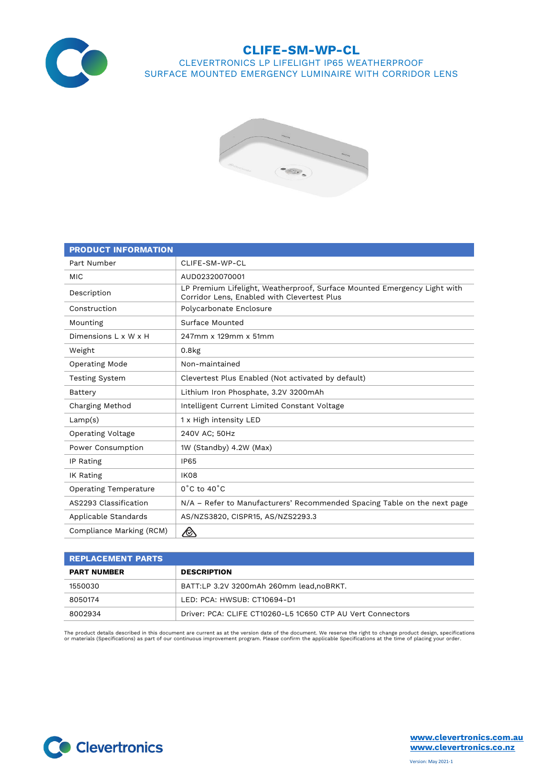

## **CLIFE-SM-WP-CL** CLEVERTRONICS LP LIFELIGHT IP65 WEATHERPROOF SURFACE MOUNTED EMERGENCY LUMINAIRE WITH CORRIDOR LENS



| <b>PRODUCT INFORMATION</b>   |                                                                                                                         |  |  |  |  |  |
|------------------------------|-------------------------------------------------------------------------------------------------------------------------|--|--|--|--|--|
| Part Number                  | CLIFE-SM-WP-CL                                                                                                          |  |  |  |  |  |
| <b>MIC</b>                   | AUD02320070001                                                                                                          |  |  |  |  |  |
| Description                  | LP Premium Lifelight, Weatherproof, Surface Mounted Emergency Light with<br>Corridor Lens, Enabled with Clevertest Plus |  |  |  |  |  |
| Construction                 | Polycarbonate Enclosure                                                                                                 |  |  |  |  |  |
| Mounting                     | Surface Mounted                                                                                                         |  |  |  |  |  |
| Dimensions L x W x H         | 247mm x 129mm x 51mm                                                                                                    |  |  |  |  |  |
| Weight                       | $0.8k$ g                                                                                                                |  |  |  |  |  |
| Operating Mode               | Non-maintained                                                                                                          |  |  |  |  |  |
| <b>Testing System</b>        | Clevertest Plus Enabled (Not activated by default)                                                                      |  |  |  |  |  |
| Battery                      | Lithium Iron Phosphate, 3.2V 3200mAh                                                                                    |  |  |  |  |  |
| Charging Method              | Intelligent Current Limited Constant Voltage                                                                            |  |  |  |  |  |
| Lamp(s)                      | 1 x High intensity LED                                                                                                  |  |  |  |  |  |
| Operating Voltage            | 240V AC; 50Hz                                                                                                           |  |  |  |  |  |
| Power Consumption            | 1W (Standby) 4.2W (Max)                                                                                                 |  |  |  |  |  |
| IP Rating                    | <b>IP65</b>                                                                                                             |  |  |  |  |  |
| IK Rating                    | <b>IK08</b>                                                                                                             |  |  |  |  |  |
| <b>Operating Temperature</b> | $0^{\circ}$ C to 40 $^{\circ}$ C                                                                                        |  |  |  |  |  |
| AS2293 Classification        | N/A - Refer to Manufacturers' Recommended Spacing Table on the next page                                                |  |  |  |  |  |
| Applicable Standards         | AS/NZS3820, CISPR15, AS/NZS2293.3                                                                                       |  |  |  |  |  |
| Compliance Marking (RCM)     |                                                                                                                         |  |  |  |  |  |

| <b>REPLACEMENT PARTS</b> |                                                            |  |  |  |  |  |
|--------------------------|------------------------------------------------------------|--|--|--|--|--|
| <b>PART NUMBER</b>       | <b>DESCRIPTION</b>                                         |  |  |  |  |  |
| 1550030                  | BATT:LP 3.2V 3200mAh 260mm lead, noBRKT.                   |  |  |  |  |  |
| 8050174                  | LED: PCA: HWSUB: CT10694-D1                                |  |  |  |  |  |
| 8002934                  | Driver: PCA: CLIFE CT10260-L5 1C650 CTP AU Vert Connectors |  |  |  |  |  |

The product details described in this document are current as at the version date of the document. We reserve the right to change product design, specifications<br>or materials (Specifications) as part of our continuous impro